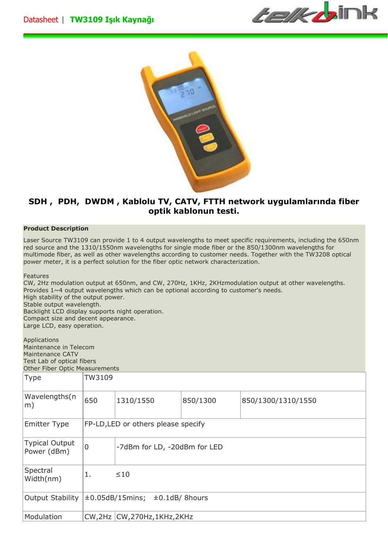



## **SDH , PDH, DWDM , Kablolu TV, CATV, FTTH network uygulamlarında fiber optik kablonun testi.**

## **Product Description**

Laser Source TW3109 can provide 1 to 4 output wavelengths to meet specific requirements, including the 650nm red source and the 1310/1550nm wavelengths for single mode fiber or the 850/1300nm wavelengths for multimode fiber, as well as other wavelengths according to customer needs. Together with the TW3208 optical power meter, it is a perfect solution for the fiber optic network characterization.

Features

CW, 2Hz modulation output at 650nm, and CW, 270Hz, 1KHz, 2KHzmodulation output at other wavelengths. Provides 1~4 output wavelengths which can be optional according to customer's needs. High stability of the output power. Stable output wavelength. Backlight LCD display supports night operation. Compact size and decent appearance. Large LCD, easy operation.

Applications Maintenance in Telecom Maintenance CATV Test Lab of optical fibers Other Fiber Optic Measurements

| Type                          | TW3109                                       |                                 |          |                    |  |
|-------------------------------|----------------------------------------------|---------------------------------|----------|--------------------|--|
| Wavelengths(n<br>m)           | 650                                          | 1310/1550                       | 850/1300 | 850/1300/1310/1550 |  |
| <b>Emitter Type</b>           | FP-LD, LED or others please specify          |                                 |          |                    |  |
| Typical Output<br>Power (dBm) | $\overline{0}$                               | -7dBm for LD, -20dBm for LED    |          |                    |  |
| Spectral<br>Width(nm)         | 1.                                           | $\leq 10$                       |          |                    |  |
| Output Stability              | $\pm 0.05$ dB/15mins;<br>$\pm 0.1$ dB/8hours |                                 |          |                    |  |
| Modulation                    |                                              | CW, 2Hz   CW, 270Hz, 1KHz, 2KHz |          |                    |  |